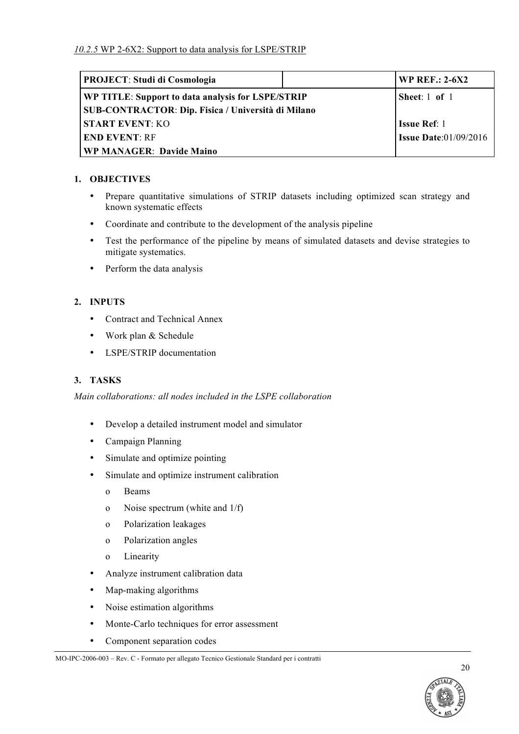| <b>PROJECT: Studi di Cosmologia</b>                | WP REF.: $2-6X2$                |
|----------------------------------------------------|---------------------------------|
| WP TITLE: Support to data analysis for LSPE/STRIP  | Sheet: $1$ of $1$               |
| SUB-CONTRACTOR: Dip. Fisica / Università di Milano |                                 |
| <b>START EVENT: KO</b>                             | <b>Issue Ref: 1</b>             |
| <b>END EVENT: RF</b>                               | <b>Issue Date:</b> $01/09/2016$ |
| <b>WP MANAGER: Davide Maino</b>                    |                                 |

## **1. OBJECTIVES**

- Prepare quantitative simulations of STRIP datasets including optimized scan strategy and known systematic effects
- Coordinate and contribute to the development of the analysis pipeline
- Test the performance of the pipeline by means of simulated datasets and devise strategies to mitigate systematics.
- Perform the data analysis

# **2. INPUTS**

- Contract and Technical Annex
- Work plan & Schedule
- LSPE/STRIP documentation

# **3. TASKS**

*Main collaborations: all nodes included in the LSPE collaboration*

- Develop a detailed instrument model and simulator
- Campaign Planning
- Simulate and optimize pointing
- Simulate and optimize instrument calibration
	- o Beams
	- o Noise spectrum (white and 1/f)
	- o Polarization leakages
	- o Polarization angles
	- o Linearity
- Analyze instrument calibration data
- Map-making algorithms
- Noise estimation algorithms
- Monte-Carlo techniques for error assessment
- Component separation codes



MO-IPC-2006-003 – Rev. C - Formato per allegato Tecnico Gestionale Standard per i contratti